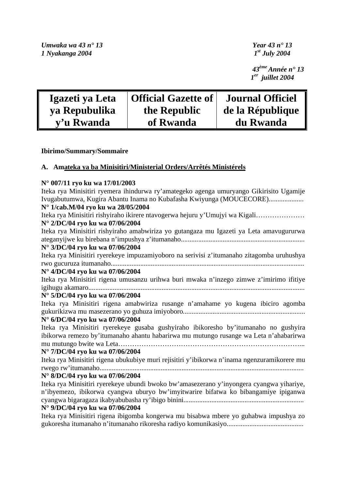*Umwaka wa 43 n° 13 Year 43 n° 13 1 Nyakanga 2004 1st July 2004* 

 *43ème Année n° 13 1er juillet 2004* 

| Igazeti ya Leta | <b>Official Gazette of</b> | <b>Journal Officiel</b> |
|-----------------|----------------------------|-------------------------|
| ya Repubulika   | the Republic               | de la République        |
| y'u Rwanda      | of Rwanda                  | du Rwanda               |

# **Ibirimo/Summary/Sommaire**

# **A. Amateka ya ba Minisitiri/Ministerial Orders/Arrêtés Ministérels**

### **N° 007/11 ryo ku wa 17/01/2003**

Iteka rya Minisitiri ryemera ihindurwa ry'amategeko agenga umuryango Gikirisito Ugamije Ivugabutumwa, Kugira Abantu Inama no Kubafasha Kwiyunga (MOUCECORE).................... **N° 1/cab.M/04 ryo ku wa 28/05/2004**  Iteka rya Minisitiri rishyiraho ikirere ntavogerwa hejuru y'Umujyi wa Kigali………………… **N° 2/DC/04 ryo ku wa 07/06/2004**  Iteka rya Minisitiri rishyiraho amabwiriza yo gutangaza mu Igazeti ya Leta amavugururwa ateganyijwe ku birebana n'impushya z'itumanaho....................................................................... **N° 3/DC/04 ryo ku wa 07/06/2004**  Iteka rya Minisitiri ryerekeye impuzamiyoboro na serivisi z'itumanaho zitagomba uruhushya rwo gucuruza itumanaho............................................................................................................... **N° 4/DC/04 ryo ku wa 07/06/2004**  Iteka rya Minisitiri rigena umusanzu urihwa buri mwaka n'inzego zimwe z'imirimo ifitiye igihugu akamaro............................................................................................................................ **N° 5/DC/04 ryo ku wa 07/06/2004**  Iteka rya Minisitiri rigena amabwiriza rusange n'amahame yo kugena ibiciro agomba gukurikizwa mu masezerano yo guhuza imiyoboro...................................................................... **N° 6/DC/04 ryo ku wa 07/06/2004**  Iteka rya Minisitiri ryerekeye gusaba gushyiraho ibikoresho by'itumanaho no gushyira ibikorwa remezo by'itumanaho ahantu habarirwa mu mutungo rusange wa Leta n'ahabarirwa mu mutungo bwite wa Leta……………………………………………………………………... **N° 7/DC/04 ryo ku wa 07/06/2004**  Iteka rya Minisitiri rigena ubukubiye muri rejisitiri y'ibikorwa n'inama ngenzuramikorere mu rwego rw'itumanaho..................................................................................................................... **N° 8/DC/04 ryo ku wa 07/06/2004**  Iteka rya Minisitiri ryerekeye ubundi bwoko bw'amasezerano y'inyongera cyangwa yihariye, n'ibyemezo, ibikorwa cyangwa uburyo bw'imyitwarire bifatwa ko bibangamiye ipiganwa cyangwa bigaragaza ikabyabubasha ry'ibigo binini..................................................................... **N° 9/DC/04 ryo ku wa 07/06/2004**  Iteka rya Minisitiri rigena ibigomba kongerwa mu bisabwa mbere yo guhabwa impushya zo gukoresha itumanaho n'itumanaho rikoresha radiyo komunikasiyo............................................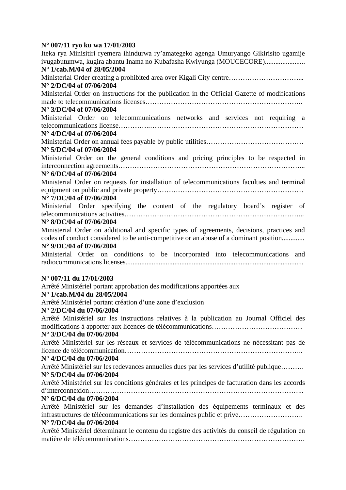# **N° 007/11 ryo ku wa 17/01/2003**

| Iteka rya Minisitiri ryemera ihindurwa ry'amategeko agenga Umuryango Gikirisito ugamije<br>ivugabutumwa, kugira abantu Inama no Kubafasha Kwiyunga (MOUCECORE)<br>N° 1/cab.M/04 of 28/05/2004 |
|-----------------------------------------------------------------------------------------------------------------------------------------------------------------------------------------------|
| Ministerial Order creating a prohibited area over Kigali City centre                                                                                                                          |
| N° 2/DC/04 of 07/06/2004                                                                                                                                                                      |
| Ministerial Order on instructions for the publication in the Official Gazette of modifications                                                                                                |
|                                                                                                                                                                                               |
| N° 3/DC/04 of 07/06/2004                                                                                                                                                                      |
| Ministerial Order on telecommunications networks and services not requiring a                                                                                                                 |
| N° 4/DC/04 of 07/06/2004                                                                                                                                                                      |
|                                                                                                                                                                                               |
| N° 5/DC/04 of 07/06/2004                                                                                                                                                                      |
| Ministerial Order on the general conditions and pricing principles to be respected in                                                                                                         |
|                                                                                                                                                                                               |
| N° 6/DC/04 of 07/06/2004                                                                                                                                                                      |
| Ministerial Order on requests for installation of telecommunications faculties and terminal                                                                                                   |
| N° 7/DC/04 of 07/06/2004                                                                                                                                                                      |
| Ministerial Order specifying the content of the regulatory board's register of                                                                                                                |
|                                                                                                                                                                                               |
| N° 8/DC/04 of 07/06/2004                                                                                                                                                                      |
| Ministerial Order on additional and specific types of agreements, decisions, practices and                                                                                                    |
| codes of conduct considered to be anti-competitive or an abuse of a dominant position<br>N° 9/DC/04 of 07/06/2004                                                                             |
| Ministerial Order on conditions to be incorporated into telecommunications and                                                                                                                |
|                                                                                                                                                                                               |
| $N^{\circ}$ 007/11 du 17/01/2003                                                                                                                                                              |
| Arrêté Ministériel portant approbation des modifications apportées aux<br>N° 1/cab.M/04 du 28/05/2004                                                                                         |
| Arrêté Ministériel portant création d'une zone d'exclusion                                                                                                                                    |
| N° 2/DC/04 du 07/06/2004                                                                                                                                                                      |
| Arrêté Ministériel sur les instructions relatives à la publication au Journal Officiel des                                                                                                    |
| N° 3/DC/04 du 07/06/2004                                                                                                                                                                      |
| Arrêté Ministériel sur les réseaux et services de télécommunications ne nécessitant pas de                                                                                                    |
|                                                                                                                                                                                               |
| N° 4/DC/04 du 07/06/2004                                                                                                                                                                      |
| Arrêté Ministériel sur les redevances annuelles dues par les services d'utilité publique                                                                                                      |
| N° 5/DC/04 du 07/06/2004                                                                                                                                                                      |
| Arrêté Ministériel sur les conditions générales et les principes de facturation dans les accords                                                                                              |
| N° 6/DC/04 du 07/06/2004                                                                                                                                                                      |
| Arrêté Ministériel sur les demandes d'installation des équipements terminaux et des                                                                                                           |
| infrastructures de télécommunications sur les domaines public et prive<br>N° 7/DC/04 du 07/06/2004                                                                                            |
| Arrêté Ministériel déterminant le contenu du registre des activités du conseil de régulation en                                                                                               |
|                                                                                                                                                                                               |
|                                                                                                                                                                                               |